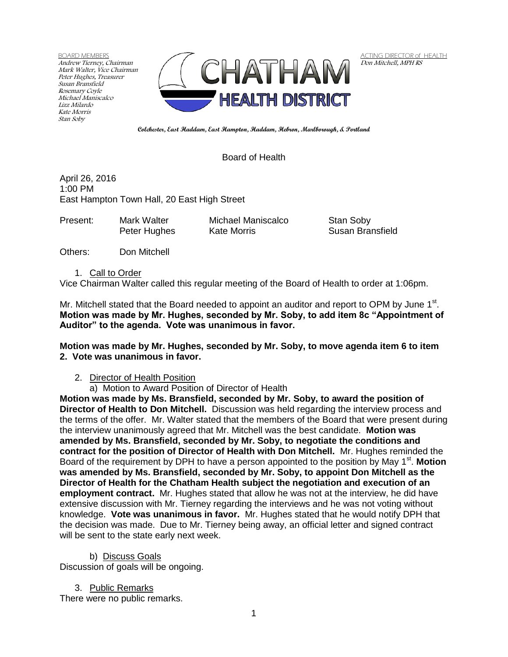BOARD MEMBERS Andrew Tierney, Chairman Mark Walter, Vice Chairman Peter Hughes, Treasurer Susan Bransfield Rosemary Coyle Michael Maniscalco Lizz Milardo Kate Morris Stan Soby



ACTING DIRECTOR of HEALTH Don Mitchell, MPH RS

**Colchester, East Haddam, East Hampton, Haddam, Hebron, Marlborough, & Portland**

Board of Health

April 26, 2016 1:00 PM East Hampton Town Hall, 20 East High Street

| Present: | Mark Walter  | Michael Maniscalco |
|----------|--------------|--------------------|
|          | Peter Hughes | Kate Morris        |

Stan Soby **Susan Bransfield** 

Others: Don Mitchell

1. Call to Order

Vice Chairman Walter called this regular meeting of the Board of Health to order at 1:06pm.

Mr. Mitchell stated that the Board needed to appoint an auditor and report to OPM by June  $1<sup>st</sup>$ . **Motion was made by Mr. Hughes, seconded by Mr. Soby, to add item 8c "Appointment of Auditor" to the agenda. Vote was unanimous in favor.**

**Motion was made by Mr. Hughes, seconded by Mr. Soby, to move agenda item 6 to item 2. Vote was unanimous in favor.**

#### 2. Director of Health Position

a) Motion to Award Position of Director of Health

**Motion was made by Ms. Bransfield, seconded by Mr. Soby, to award the position of Director of Health to Don Mitchell.** Discussion was held regarding the interview process and the terms of the offer. Mr. Walter stated that the members of the Board that were present during the interview unanimously agreed that Mr. Mitchell was the best candidate. **Motion was amended by Ms. Bransfield, seconded by Mr. Soby, to negotiate the conditions and contract for the position of Director of Health with Don Mitchell.** Mr. Hughes reminded the Board of the requirement by DPH to have a person appointed to the position by May 1<sup>st</sup>. Motion **was amended by Ms. Bransfield, seconded by Mr. Soby, to appoint Don Mitchell as the Director of Health for the Chatham Health subject the negotiation and execution of an employment contract.** Mr. Hughes stated that allow he was not at the interview, he did have extensive discussion with Mr. Tierney regarding the interviews and he was not voting without knowledge. **Vote was unanimous in favor.** Mr. Hughes stated that he would notify DPH that the decision was made. Due to Mr. Tierney being away, an official letter and signed contract will be sent to the state early next week.

b) Discuss Goals Discussion of goals will be ongoing.

3. Public Remarks There were no public remarks.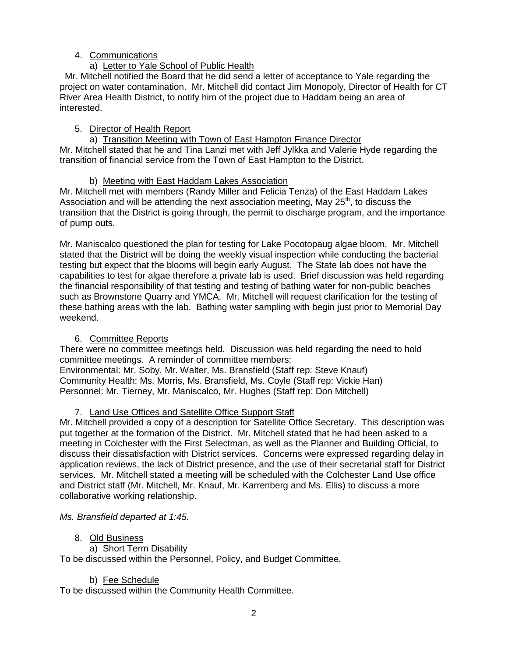# 4. Communications

# a) Letter to Yale School of Public Health

 Mr. Mitchell notified the Board that he did send a letter of acceptance to Yale regarding the project on water contamination. Mr. Mitchell did contact Jim Monopoly, Director of Health for CT River Area Health District, to notify him of the project due to Haddam being an area of interested.

# 5. Director of Health Report

a) Transition Meeting with Town of East Hampton Finance Director Mr. Mitchell stated that he and Tina Lanzi met with Jeff Jylkka and Valerie Hyde regarding the transition of financial service from the Town of East Hampton to the District.

# b) Meeting with East Haddam Lakes Association

Mr. Mitchell met with members (Randy Miller and Felicia Tenza) of the East Haddam Lakes Association and will be attending the next association meeting, May  $25<sup>th</sup>$ , to discuss the transition that the District is going through, the permit to discharge program, and the importance of pump outs.

Mr. Maniscalco questioned the plan for testing for Lake Pocotopaug algae bloom. Mr. Mitchell stated that the District will be doing the weekly visual inspection while conducting the bacterial testing but expect that the blooms will begin early August. The State lab does not have the capabilities to test for algae therefore a private lab is used. Brief discussion was held regarding the financial responsibility of that testing and testing of bathing water for non-public beaches such as Brownstone Quarry and YMCA. Mr. Mitchell will request clarification for the testing of these bathing areas with the lab. Bathing water sampling with begin just prior to Memorial Day weekend.

# 6. Committee Reports

There were no committee meetings held. Discussion was held regarding the need to hold committee meetings. A reminder of committee members:

Environmental: Mr. Soby, Mr. Walter, Ms. Bransfield (Staff rep: Steve Knauf) Community Health: Ms. Morris, Ms. Bransfield, Ms. Coyle (Staff rep: Vickie Han) Personnel: Mr. Tierney, Mr. Maniscalco, Mr. Hughes (Staff rep: Don Mitchell)

# 7. Land Use Offices and Satellite Office Support Staff

Mr. Mitchell provided a copy of a description for Satellite Office Secretary. This description was put together at the formation of the District. Mr. Mitchell stated that he had been asked to a meeting in Colchester with the First Selectman, as well as the Planner and Building Official, to discuss their dissatisfaction with District services. Concerns were expressed regarding delay in application reviews, the lack of District presence, and the use of their secretarial staff for District services. Mr. Mitchell stated a meeting will be scheduled with the Colchester Land Use office and District staff (Mr. Mitchell, Mr. Knauf, Mr. Karrenberg and Ms. Ellis) to discuss a more collaborative working relationship.

# *Ms. Bransfield departed at 1:45.*

# 8. Old Business

a) Short Term Disability

To be discussed within the Personnel, Policy, and Budget Committee.

# b) Fee Schedule

To be discussed within the Community Health Committee.